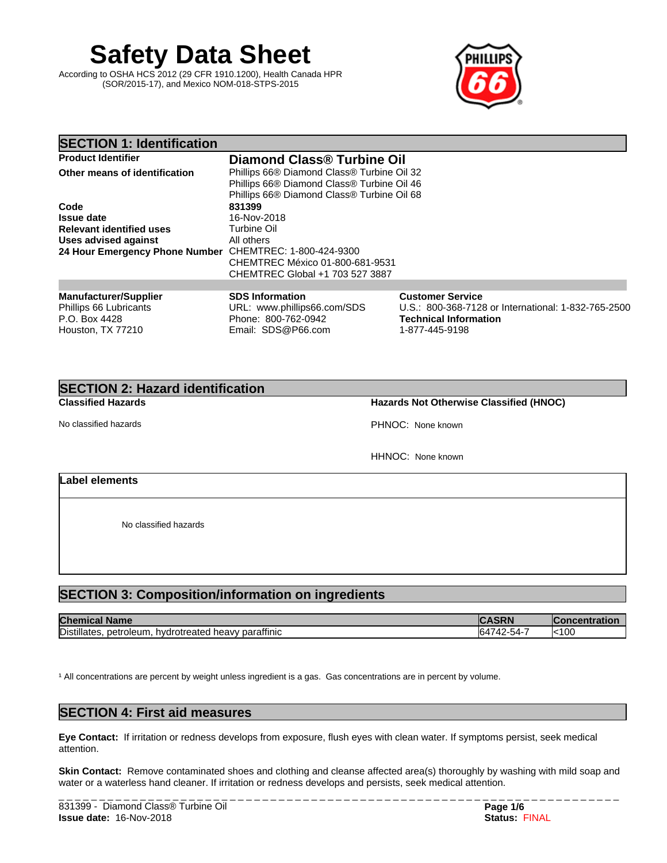**Safety Data Sheet**

According to OSHA HCS 2012 (29 CFR 1910.1200), Health Canada HPR (SOR/2015-17), and Mexico NOM-018-STPS-2015



# **SECTION 1: Identification**

| <b>Product Identifier</b>                               | Diamond Class <sup>®</sup> Turbine Oil     |
|---------------------------------------------------------|--------------------------------------------|
| Other means of identification                           | Phillips 66® Diamond Class® Turbine Oil 32 |
|                                                         | Phillips 66® Diamond Class® Turbine Oil 46 |
|                                                         | Phillips 66® Diamond Class® Turbine Oil 68 |
| Code                                                    | 831399                                     |
| <b>Issue date</b>                                       | 16-Nov-2018                                |
| <b>Relevant identified uses</b>                         | Turbine Oil                                |
| <b>Uses advised against</b>                             | All others                                 |
| 24 Hour Emergency Phone Number CHEMTREC: 1-800-424-9300 |                                            |
|                                                         | CHEMTREC México 01-800-681-9531            |
|                                                         | CHEMTREC Global +1 703 527 3887            |
|                                                         |                                            |

| <b>Manufacturer/Supplier</b> | <b>SDS Information</b>      | <b>Customer Service</b>                             |
|------------------------------|-----------------------------|-----------------------------------------------------|
| Phillips 66 Lubricants       | URL: www.phillips66.com/SDS | U.S.: 800-368-7128 or International: 1-832-765-2500 |
| P.O. Box 4428                | Phone: 800-762-0942         | <b>Technical Information</b>                        |
| Houston, TX 77210            | Email: SDS@P66.com          | 1-877-445-9198                                      |

# **SECTION 2: Hazard identification**

**Classified Hazards Hazards Not Otherwise Classified (HNOC)**

No classified hazards PHNOC: None known

HHNOC: None known

## **Label elements**

No classified hazards

# **SECTION 3: Composition/information on ingredients**

| <b>Chen</b><br><b>Name</b><br>π                                       | <b>ARA</b>                                  | ratior       |
|-----------------------------------------------------------------------|---------------------------------------------|--------------|
| <br>Distillates.<br>I heavy paraffinic<br>hydrotreated<br>. petroleum | $ \cdot$<br>- 71<br>b4<br>2-54-<br>v<br>. . | <b>k</b> 100 |

<sup>1</sup> All concentrations are percent by weight unless ingredient is a gas. Gas concentrations are in percent by volume.

# **SECTION 4: First aid measures**

**Eye Contact:** Ifirritation or redness develops from exposure, flush eyes with clean water. If symptoms persist, seek medical attention.

**Skin Contact:** Remove contaminated shoes and clothing and cleanse affected area(s) thoroughly by washing with mild soap and water or a waterless hand cleaner. If irritation or redness develops and persists, seek medical attention.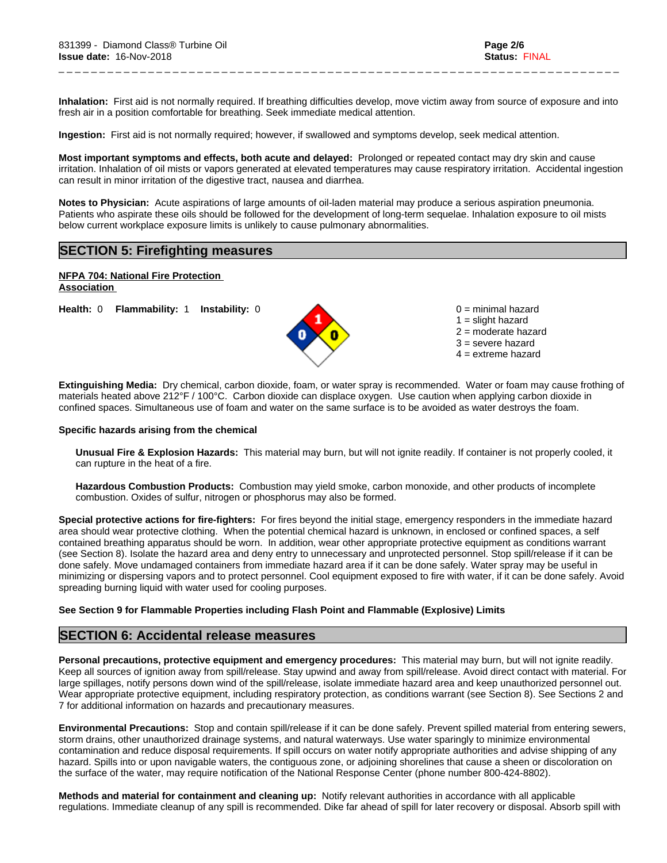Inhalation: First aid is not normally required. If breathing difficulties develop, move victim away from source of exposure and into fresh air in a position comfortable for breathing. Seek immediate medical attention.

\_ \_ \_ \_ \_ \_ \_ \_ \_ \_ \_ \_ \_ \_ \_ \_ \_ \_ \_ \_ \_ \_ \_ \_ \_ \_ \_ \_ \_ \_ \_ \_ \_ \_ \_ \_ \_ \_ \_ \_ \_ \_ \_ \_ \_ \_ \_ \_ \_ \_ \_ \_ \_ \_ \_ \_ \_ \_ \_ \_ \_ \_ \_ \_ \_ \_ \_ \_ \_

**Ingestion:** First aid is not normally required; however, if swallowed and symptoms develop, seek medical attention.

**Most important symptoms and effects, both acute and delayed:** Prolonged or repeated contact may dry skin and cause irritation. Inhalation of oil mists or vapors generated at elevated temperatures may cause respiratory irritation. Accidental ingestion can result in minor irritation of the digestive tract, nausea and diarrhea.

**Notes to Physician:**Acute aspirations of large amounts of oil-laden material may produce a serious aspiration pneumonia. Patients who aspirate these oils should be followed for the development of long-term sequelae. Inhalation exposure to oil mists below current workplace exposure limits is unlikely to cause pulmonary abnormalities.

## **SECTION 5: Firefighting measures**

# **NFPA 704: National Fire Protection**

**Association** 

**Health:** 0 **Flammability:** 1 **Instability:** 0 0 = minimal hazard



 $1 =$  slight hazard 2 = moderate hazard 3 = severe hazard  $4 =$  extreme hazard

**Extinguishing Media:** Dry chemical, carbon dioxide, foam, or water spray is recommended. Water or foam may cause frothing of materials heated above 212°F / 100°C. Carbon dioxide can displace oxygen. Use caution when applying carbon dioxide in confined spaces. Simultaneous use of foam and water on the same surface is to be avoided as water destroys the foam.

### **Specific hazards arising from the chemical**

**Unusual Fire & Explosion Hazards:** This material may burn, butwill not ignite readily. If container is not properly cooled, it can rupture in the heat of a fire.

**Hazardous Combustion Products:** Combustion may yield smoke, carbon monoxide, and other products of incomplete combustion. Oxides of sulfur, nitrogen or phosphorus may also be formed.

**Special protective actions for fire-fighters:** For fires beyond the initial stage, emergency responders in the immediate hazard area should wear protective clothing. When the potential chemical hazard is unknown, in enclosed or confined spaces, a self contained breathing apparatus should be worn. In addition, wear other appropriate protective equipment as conditions warrant (see Section 8). Isolate the hazard area and deny entry to unnecessary and unprotected personnel. Stop spill/release if it can be done safely. Move undamaged containers from immediate hazard area if it can be done safely. Water spray may be useful in minimizing or dispersing vapors and to protect personnel. Cool equipment exposed to fire with water, if it can be done safely. Avoid spreading burning liquid with water used for cooling purposes.

### **See Section 9 for Flammable Properties including Flash Point and Flammable (Explosive) Limits**

## **SECTION 6: Accidental release measures**

**Personal precautions, protective equipment and emergency procedures:** This material may burn, butwill not ignite readily. Keep all sources of ignition away from spill/release. Stay upwind and away from spill/release. Avoid direct contact with material. For large spillages, notify persons down wind of the spill/release, isolate immediate hazard area and keep unauthorized personnel out. Wear appropriate protective equipment, including respiratory protection, as conditions warrant (see Section 8). See Sections 2 and 7 for additional information on hazards and precautionary measures.

**Environmental Precautions:** Stop and contain spill/release if it can be done safely. Prevent spilled material from entering sewers, storm drains, other unauthorized drainage systems, and natural waterways. Use water sparingly to minimize environmental contamination and reduce disposal requirements. If spill occurs on water notify appropriate authorities and advise shipping of any hazard. Spills into or upon navigable waters, the contiguous zone, or adjoining shorelines that cause a sheen or discoloration on the surface of the water, may require notification of the National Response Center (phone number 800-424-8802).

**Methods and material for containment and cleaning up:** Notify relevant authorities in accordance with all applicable regulations. Immediate cleanup of any spill is recommended. Dike far ahead of spill for later recovery or disposal. Absorb spill with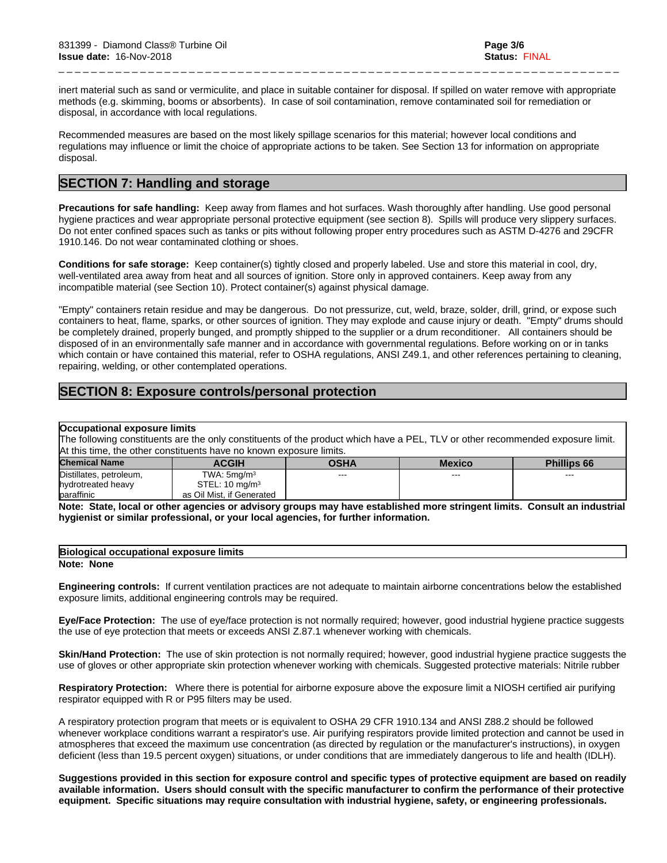inert material such as sand or vermiculite, and place in suitable container for disposal. If spilled on water remove with appropriate methods (e.g. skimming, booms or absorbents). In case of soil contamination, remove contaminated soil for remediation or disposal, in accordance with local regulations.

\_ \_ \_ \_ \_ \_ \_ \_ \_ \_ \_ \_ \_ \_ \_ \_ \_ \_ \_ \_ \_ \_ \_ \_ \_ \_ \_ \_ \_ \_ \_ \_ \_ \_ \_ \_ \_ \_ \_ \_ \_ \_ \_ \_ \_ \_ \_ \_ \_ \_ \_ \_ \_ \_ \_ \_ \_ \_ \_ \_ \_ \_ \_ \_ \_ \_ \_ \_ \_

Recommended measures are based on the most likely spillage scenarios for this material; however local conditions and regulations may influence or limit the choice of appropriate actions to be taken. See Section 13 for information on appropriate disposal.

# **SECTION 7: Handling and storage**

**Precautions for safe handling:** Keep away from flames and hot surfaces. Wash thoroughly after handling. Use good personal hygiene practices and wear appropriate personal protective equipment (see section 8). Spills will produce very slippery surfaces. Do not enter confined spaces such as tanks or pits without following proper entry procedures such as ASTM D-4276 and 29CFR 1910.146. Do not wear contaminated clothing or shoes.

**Conditions for safe storage:**Keep container(s) tightly closed and properly labeled. Use and store this material in cool, dry, well-ventilated area away from heat and all sources of ignition. Store only in approved containers. Keep away from any incompatible material (see Section 10). Protect container(s) against physical damage.

"Empty" containers retain residue and may be dangerous. Do not pressurize, cut, weld, braze, solder, drill, grind, or expose such containers to heat, flame, sparks, or other sources of ignition. They may explode and cause injury or death."Empty" drums should be completely drained, properly bunged, and promptly shipped to the supplier or a drum reconditioner. All containers should be disposed of in an environmentally safe manner and in accordance with governmentalregulations. Before working on or in tanks which contain or have contained this material, refer to OSHA regulations, ANSI Z49.1, and other references pertaining to cleaning, repairing, welding, or other contemplated operations.

# **SECTION 8: Exposure controls/personal protection**

### **Occupational exposure limits**

The following constituents are the only constituents of the product which have a PEL, TLV or other recommended exposure limit. At this time, the other constituents have no known exposure limits.

| <b>Chemical Name</b>    | <b>ACGIH</b>              | <b>OSHA</b> | <b>Mexico</b> | <b>Phillips 66</b> |
|-------------------------|---------------------------|-------------|---------------|--------------------|
| Distillates, petroleum, | TWA: 5ma/m <sup>3</sup>   | $- - -$     | ---           | ---                |
| hydrotreated heavy      | STEL: $10 \text{ mg/m}^3$ |             |               |                    |
| paraffinic              | as Oil Mist, if Generated |             |               |                    |

Note: State, local or other agencies or advisory groups may have established more stringent limits. Consult an industrial **hygienist or similar professional, or your local agencies, for further information.**

## **Biological occupational exposure limits**

#### **Note: None**

**Engineering controls:** Ifcurrent ventilation practices are not adequate to maintain airborne concentrations below the established exposure limits, additional engineering controls may be required.

**Eye/Face Protection:** The use of eye/face protection is not normally required; however, good industrial hygiene practice suggests the use of eye protection that meets or exceeds ANSI Z.87.1 whenever working with chemicals.

**Skin/Hand Protection:** The use of skin protection is not normally required; however, good industrial hygiene practice suggests the use of gloves or other appropriate skin protection whenever working with chemicals. Suggested protective materials: Nitrile rubber

**Respiratory Protection:** Where there is potential for airborne exposure above the exposure limit a NIOSH certified air purifying respirator equipped with R or P95 filters may be used.

A respiratory protection program that meets or is equivalent to OSHA 29 CFR 1910.134 and ANSI Z88.2 should be followed whenever workplace conditions warrant a respirator's use. Air purifying respirators provide limited protection and cannot be used in atmospheres that exceed the maximum use concentration (as directed by regulation or the manufacturer's instructions), in oxygen deficient (less than 19.5 percent oxygen) situations, or under conditions that are immediately dangerous to life and health (IDLH).

Suggestions provided in this section for exposure control and specific types of protective equipment are based on readily available information. Users should consult with the specific manufacturer to confirm the performance of their protective **equipment. Specific situations may require consultation with industrial hygiene, safety, or engineering professionals.**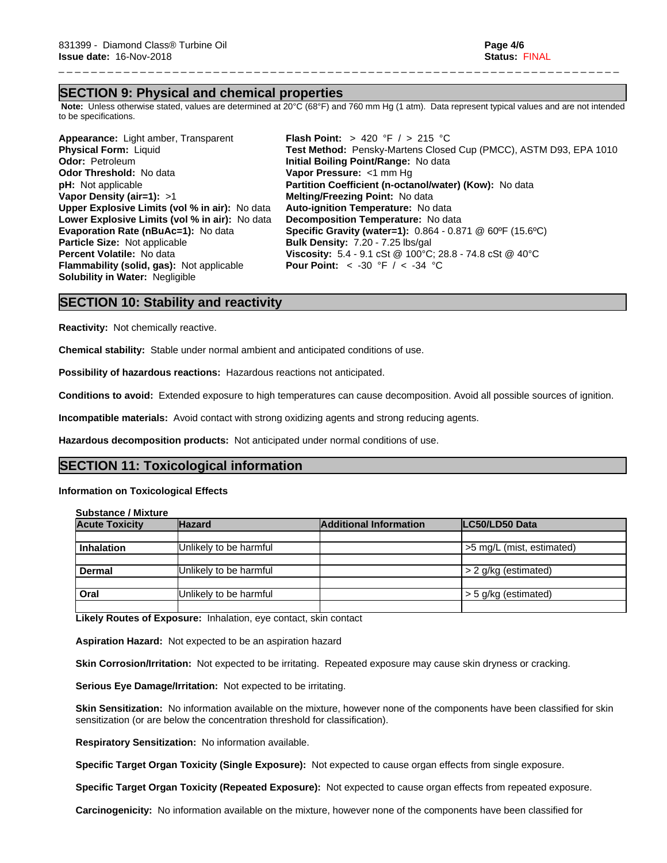## **SECTION 9: Physical and chemical properties**

 **Note:** Unless otherwise stated, values are determined at 20°C (68°F) and 760 mm Hg (1 atm). Data represent typical values and are not intended to be specifications.

\_ \_ \_ \_ \_ \_ \_ \_ \_ \_ \_ \_ \_ \_ \_ \_ \_ \_ \_ \_ \_ \_ \_ \_ \_ \_ \_ \_ \_ \_ \_ \_ \_ \_ \_ \_ \_ \_ \_ \_ \_ \_ \_ \_ \_ \_ \_ \_ \_ \_ \_ \_ \_ \_ \_ \_ \_ \_ \_ \_ \_ \_ \_ \_ \_ \_ \_ \_ \_

**Appearance:** Light amber, Transparent **Flash Point:** > 420 °F / > 215 °C **Odor:** Petroleum **Initial Boiling Point/Range:** No data **Initial Boiling Point/Range:** No data **Contract Contract Point Pressure:** <1 mm Hg **Odor Threshold:** No data **Vapor Pressure:** <1 mm Hg **pH:** Not applicable **Partition Coefficient (n-octa Vapor Density (air=1):** >1 **Melting/Freezing Point:** No data **Upper Explosive Limits (vol% in air):** No data **Auto-ignition Temperature:** No data **Lower Explosive Limits (vol% in air):** No data **Decomposition Temperature:** No data **Particle Size:** Not applicable **Bulk Density:**7.20 - 7.25 lbs/gal **Flammability (solid, gas):** Not applicable **Solubility in Water:** Negligible

**Physical Form:** Liquid **Test Method:** Pensky-Martens Closed Cup (PMCC), ASTM D93, EPA 1010<br> **Odor:** Petroleum **The Closen Contains Colling Point/Range:** No data **Partition Coefficient (n-octanol/water) (Kow):** No data **Evaporation Rate (nBuAc=1):** No data **Specific Gravity (water=1):** 0.864 - 0.871 @ 60ºF (15.6ºC) **Percent Volatile:** No data **Viscosity:** 5.4 - 9.1 cSt @ 100°C; 28.8 - 74.8 cSt @ 40°C<br>**Flammability (solid, gas):** Not applicable **Pour Point:** < -30 °F / < -34 °C

## **SECTION 10: Stability and reactivity**

**Reactivity:** Not chemically reactive.

**Chemical stability:** Stable under normal ambient and anticipated conditions of use.

**Possibility of hazardous reactions:** Hazardous reactions not anticipated.

**Conditions to avoid:** Extended exposure to high temperatures can cause decomposition. Avoid all possible sources of ignition.

**Incompatible materials:** Avoid contact with strong oxidizing agents and strong reducing agents.

**Hazardous decomposition products:** Not anticipated under normal conditions of use.

## **SECTION 11: Toxicological information**

### **Information on Toxicological Effects**

**Substance / Mixture**

| <b>Acute Toxicity</b> | <b>Hazard</b>          | <b>Additional Information</b> | LC50/LD50 Data            |
|-----------------------|------------------------|-------------------------------|---------------------------|
|                       |                        |                               |                           |
| <b>Inhalation</b>     | Unlikely to be harmful |                               | >5 mg/L (mist, estimated) |
|                       |                        |                               |                           |
| <b>Dermal</b>         | Unlikely to be harmful |                               | > 2 g/kg (estimated)      |
|                       |                        |                               |                           |
| Oral                  | Unlikely to be harmful |                               | > 5 g/kg (estimated)      |
|                       |                        |                               |                           |

**Likely Routes of Exposure:** Inhalation, eye contact, skin contact

**Aspiration Hazard:** Not expected to be an aspiration hazard

**Skin Corrosion/Irritation:** Not expected to be irritating. Repeated exposure may cause skin dryness or cracking.

**Serious Eye Damage/Irritation:** Not expected to be irritating.

**Skin Sensitization:** No information available on the mixture, however none of the components have been classified for skin sensitization (or are below the concentration threshold for classification).

**Respiratory Sensitization:** No information available.

**Specific Target Organ Toxicity (Single Exposure):** Not expected to cause organ effects from single exposure.

**Specific Target Organ Toxicity (Repeated Exposure):** Not expected to cause organ effects from repeated exposure.

**Carcinogenicity:** No information available on the mixture, however none of the components have been classified for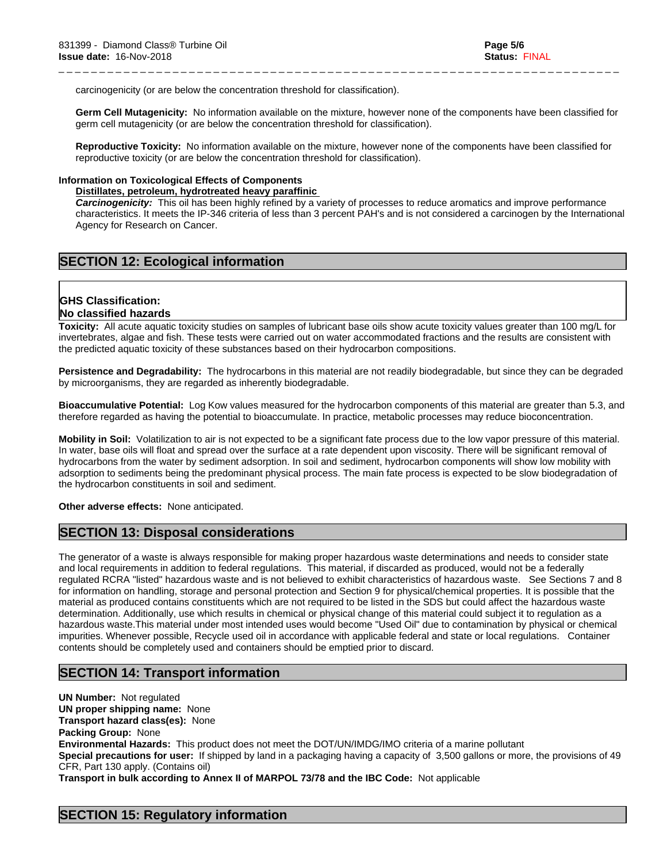carcinogenicity (or are below the concentration threshold for classification).

**Germ Cell Mutagenicity:** No information available on the mixture, however none of the components have been classified for germ cell mutagenicity (or are below the concentration threshold for classification).

\_ \_ \_ \_ \_ \_ \_ \_ \_ \_ \_ \_ \_ \_ \_ \_ \_ \_ \_ \_ \_ \_ \_ \_ \_ \_ \_ \_ \_ \_ \_ \_ \_ \_ \_ \_ \_ \_ \_ \_ \_ \_ \_ \_ \_ \_ \_ \_ \_ \_ \_ \_ \_ \_ \_ \_ \_ \_ \_ \_ \_ \_ \_ \_ \_ \_ \_ \_ \_

**Reproductive Toxicity:** No information available on the mixture, however none of the components have been classified for reproductive toxicity (or are below the concentration threshold for classification).

### **Information on Toxicological Effects of Components**

### **Distillates, petroleum, hydrotreated heavy paraffinic**

*Carcinogenicity:* This oil has been highly refined by a variety of processes to reduce aromatics and improve performance characteristics. It meets the IP-346 criteria of less than 3 percent PAH's and isnot considered a carcinogen by the International Agency for Research on Cancer.

# **SECTION 12: Ecological information**

### **GHS Classification: No classified hazards**

**Toxicity:** All acute aquatic toxicity studies on samples of lubricant base oils show acute toxicity values greater than 100 mg/L for invertebrates, algae and fish. These tests were carried out on water accommodated fractions and the results are consistent with the predicted aquatic toxicity of these substances based on their hydrocarbon compositions.

**Persistence and Degradability:** The hydrocarbons in this material are not readily biodegradable, but since they can be degraded by microorganisms, they are regarded as inherently biodegradable.

**Bioaccumulative Potential:** Log Kow values measured for the hydrocarbon components of this material are greater than 5.3, and therefore regarded as having the potential to bioaccumulate. In practice, metabolic processes may reduce bioconcentration.

**Mobility in Soil:** Volatilization to air is not expected to be a significant fate process due to the low vapor pressure of this material. In water, base oils will float and spread over the surface at a rate dependent upon viscosity. There will be significant removal of hydrocarbons from the water by sediment adsorption. In soil and sediment, hydrocarbon components will show low mobility with adsorption to sediments being the predominant physical process. The main fate process is expected to be slow biodegradation of the hydrocarbon constituents in soil and sediment.

**Other adverse effects:** None anticipated.

# **SECTION 13: Disposal considerations**

The generator of a waste is always responsible for making proper hazardous waste determinations and needs to consider state and local requirements in addition to federal regulations. This material, if discarded as produced, would not be a federally regulated RCRA "listed" hazardous waste and is not believed to exhibit characteristics of hazardous waste. See Sections 7 and 8 for information on handling, storage and personal protection and Section 9 for physical/chemical properties. It is possible that the material as produced contains constituents which are not required to be listed in the SDS but could affect the hazardous waste determination. Additionally, use which results in chemical or physical change of this material could subject it to regulation as a hazardous waste.This material under most intended uses would become "Used Oil" due to contamination by physical or chemical impurities. Whenever possible, Recycle used oil in accordance with applicable federal and state or local regulations. Container contents should be completely used and containers should be emptied prior to discard.

# **SECTION 14: Transport information**

**UN Number:** Not regulated **UN proper shipping name:** None **Transport hazard class(es):** None **Packing Group:** None **Environmental Hazards:** This product does not meet the DOT/UN/IMDG/IMO criteria of a marine pollutant **Special precautions for user:** If shipped by land in a packaging having a capacity of 3,500 gallons or more, the provisions of 49 CFR, Part 130 apply. (Contains oil)

**Transport in bulk according to Annex II of MARPOL 73/78 and the IBC Code:** Not applicable

# **SECTION 15: Regulatory information**